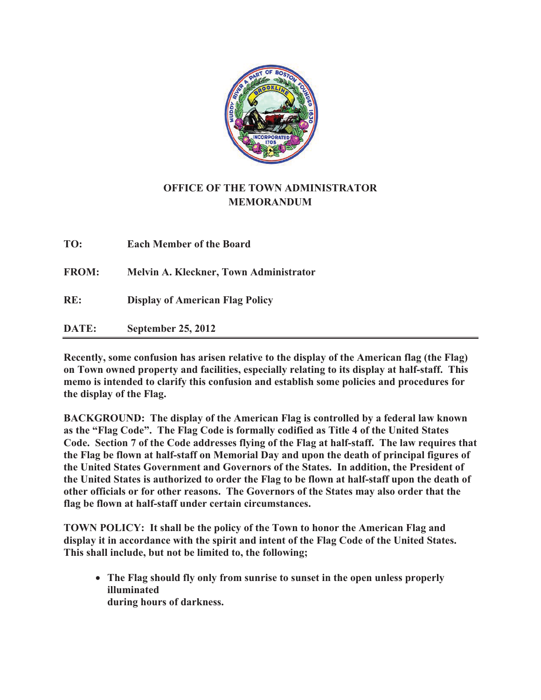

## **OFFICE OF THE TOWN ADMINISTRATOR MEMORANDUM**

| TO:          | <b>Each Member of the Board</b>               |
|--------------|-----------------------------------------------|
| <b>FROM:</b> | <b>Melvin A. Kleckner, Town Administrator</b> |
| RE:          | <b>Display of American Flag Policy</b>        |
| DATE:        | <b>September 25, 2012</b>                     |

**Recently, some confusion has arisen relative to the display of the American flag (the Flag) on Town owned property and facilities, especially relating to its display at half-staff. This memo is intended to clarify this confusion and establish some policies and procedures for the display of the Flag.** 

**BACKGROUND: The display of the American Flag is controlled by a federal law known as the "Flag Code". The Flag Code is formally codified as Title 4 of the United States Code. Section 7 of the Code addresses flying of the Flag at half-staff. The law requires that the Flag be flown at half-staff on Memorial Day and upon the death of principal figures of the United States Government and Governors of the States. In addition, the President of the United States is authorized to order the Flag to be flown at half-staff upon the death of other officials or for other reasons. The Governors of the States may also order that the flag be flown at half-staff under certain circumstances.** 

**TOWN POLICY: It shall be the policy of the Town to honor the American Flag and display it in accordance with the spirit and intent of the Flag Code of the United States. This shall include, but not be limited to, the following;** 

- **The Flag should fly only from sunrise to sunset in the open unless properly illuminated during hours of darkness.**